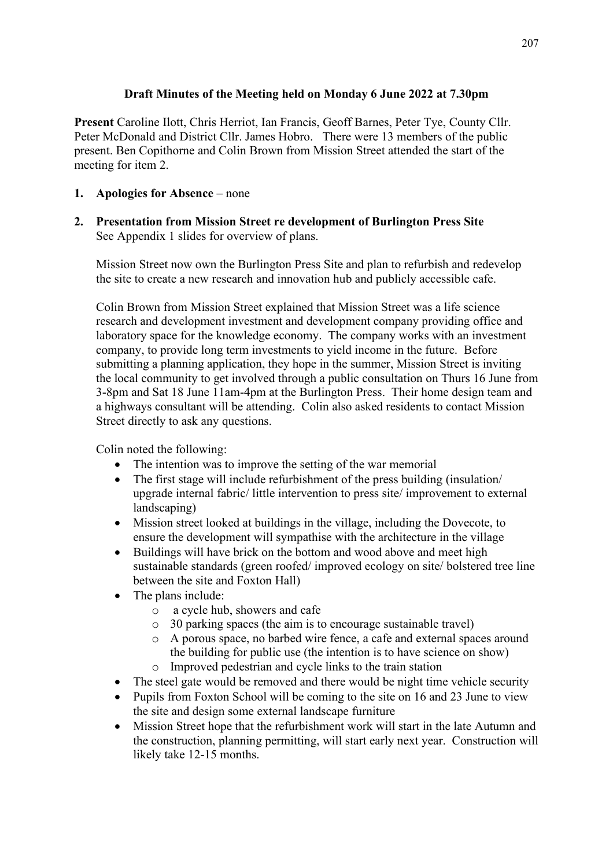# **Draft Minutes of the Meeting held on Monday 6 June 2022 at 7.30pm**

**Present** Caroline Ilott, Chris Herriot, Ian Francis, Geoff Barnes, Peter Tye, County Cllr. Peter McDonald and District Cllr. James Hobro. There were 13 members of the public present. Ben Copithorne and Colin Brown from Mission Street attended the start of the meeting for item 2.

# **1. Apologies for Absence** – none

**2. Presentation from Mission Street re development of Burlington Press Site** See Appendix 1 slides for overview of plans.

Mission Street now own the Burlington Press Site and plan to refurbish and redevelop the site to create a new research and innovation hub and publicly accessible cafe.

Colin Brown from Mission Street explained that Mission Street was a life science research and development investment and development company providing office and laboratory space for the knowledge economy. The company works with an investment company, to provide long term investments to yield income in the future. Before submitting a planning application, they hope in the summer, Mission Street is inviting the local community to get involved through a public consultation on Thurs 16 June from 3-8pm and Sat 18 June 11am-4pm at the Burlington Press. Their home design team and a highways consultant will be attending. Colin also asked residents to contact Mission Street directly to ask any questions.

Colin noted the following:

- The intention was to improve the setting of the war memorial
- The first stage will include refurbishment of the press building (insulation) upgrade internal fabric/ little intervention to press site/ improvement to external landscaping)
- Mission street looked at buildings in the village, including the Dovecote, to ensure the development will sympathise with the architecture in the village
- Buildings will have brick on the bottom and wood above and meet high sustainable standards (green roofed/ improved ecology on site/ bolstered tree line between the site and Foxton Hall)
- The plans include:
	- o a cycle hub, showers and cafe
	- o 30 parking spaces (the aim is to encourage sustainable travel)
	- o A porous space, no barbed wire fence, a cafe and external spaces around the building for public use (the intention is to have science on show)
	- o Improved pedestrian and cycle links to the train station
- The steel gate would be removed and there would be night time vehicle security
- Pupils from Foxton School will be coming to the site on 16 and 23 June to view the site and design some external landscape furniture
- Mission Street hope that the refurbishment work will start in the late Autumn and the construction, planning permitting, will start early next year. Construction will likely take 12-15 months.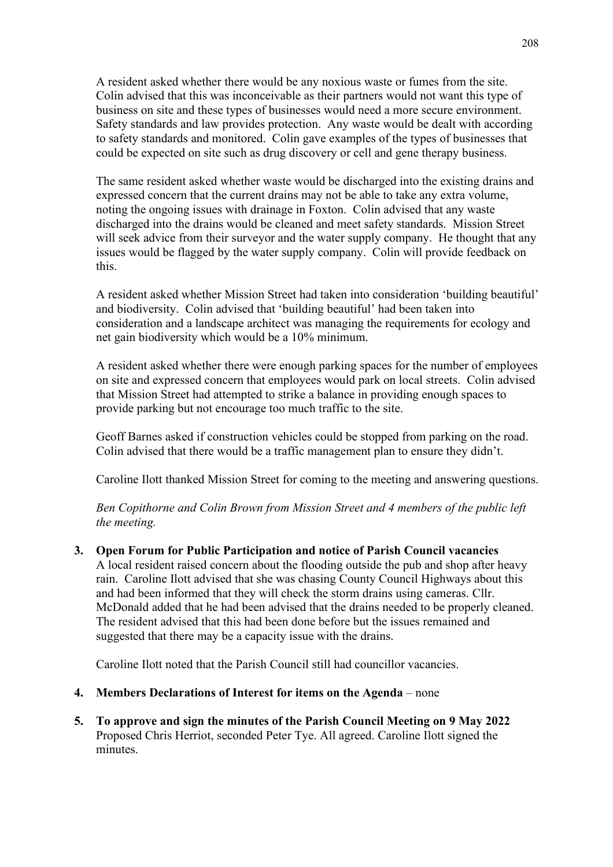A resident asked whether there would be any noxious waste or fumes from the site. Colin advised that this was inconceivable as their partners would not want this type of business on site and these types of businesses would need a more secure environment. Safety standards and law provides protection. Any waste would be dealt with according to safety standards and monitored. Colin gave examples of the types of businesses that could be expected on site such as drug discovery or cell and gene therapy business.

The same resident asked whether waste would be discharged into the existing drains and expressed concern that the current drains may not be able to take any extra volume, noting the ongoing issues with drainage in Foxton. Colin advised that any waste discharged into the drains would be cleaned and meet safety standards. Mission Street will seek advice from their surveyor and the water supply company. He thought that any issues would be flagged by the water supply company. Colin will provide feedback on this.

A resident asked whether Mission Street had taken into consideration 'building beautiful' and biodiversity. Colin advised that 'building beautiful' had been taken into consideration and a landscape architect was managing the requirements for ecology and net gain biodiversity which would be a 10% minimum.

A resident asked whether there were enough parking spaces for the number of employees on site and expressed concern that employees would park on local streets. Colin advised that Mission Street had attempted to strike a balance in providing enough spaces to provide parking but not encourage too much traffic to the site.

Geoff Barnes asked if construction vehicles could be stopped from parking on the road. Colin advised that there would be a traffic management plan to ensure they didn't.

Caroline Ilott thanked Mission Street for coming to the meeting and answering questions.

*Ben Copithorne and Colin Brown from Mission Street and 4 members of the public left the meeting.*

**3. Open Forum for Public Participation and notice of Parish Council vacancies** A local resident raised concern about the flooding outside the pub and shop after heavy rain. Caroline Ilott advised that she was chasing County Council Highways about this and had been informed that they will check the storm drains using cameras. Cllr. McDonald added that he had been advised that the drains needed to be properly cleaned. The resident advised that this had been done before but the issues remained and suggested that there may be a capacity issue with the drains.

Caroline Ilott noted that the Parish Council still had councillor vacancies.

- **4. Members Declarations of Interest for items on the Agenda** none
- **5. To approve and sign the minutes of the Parish Council Meeting on 9 May 2022** Proposed Chris Herriot, seconded Peter Tye. All agreed. Caroline Ilott signed the minutes.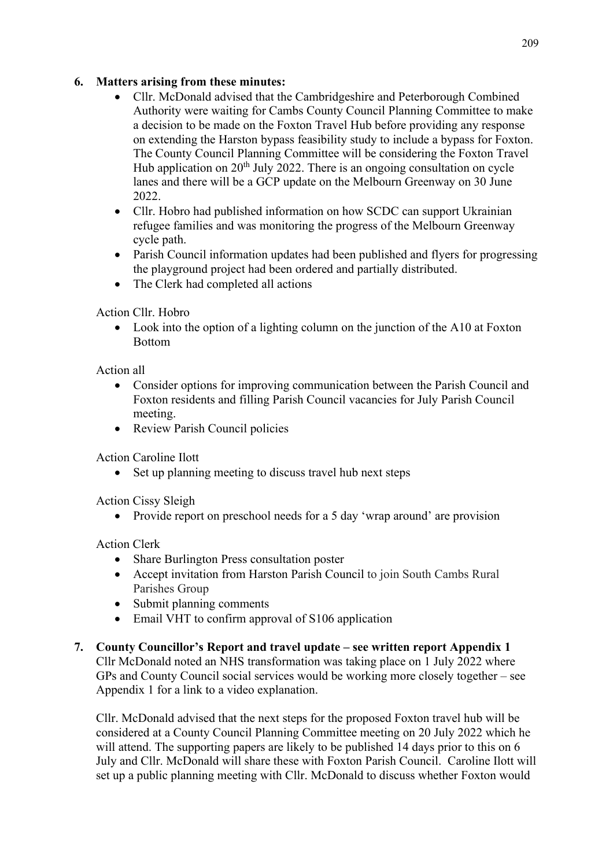# **6. Matters arising from these minutes:**

- Cllr. McDonald advised that the Cambridgeshire and Peterborough Combined Authority were waiting for Cambs County Council Planning Committee to make a decision to be made on the Foxton Travel Hub before providing any response on extending the Harston bypass feasibility study to include a bypass for Foxton. The County Council Planning Committee will be considering the Foxton Travel Hub application on  $20<sup>th</sup>$  July 2022. There is an ongoing consultation on cycle lanes and there will be a GCP update on the Melbourn Greenway on 30 June 2022.
- Cllr. Hobro had published information on how SCDC can support Ukrainian refugee families and was monitoring the progress of the Melbourn Greenway cycle path.
- Parish Council information updates had been published and flyers for progressing the playground project had been ordered and partially distributed.
- The Clerk had completed all actions

Action Cllr. Hobro

• Look into the option of a lighting column on the junction of the A10 at Foxton Bottom

Action all

- Consider options for improving communication between the Parish Council and Foxton residents and filling Parish Council vacancies for July Parish Council meeting.
- Review Parish Council policies

Action Caroline Ilott

• Set up planning meeting to discuss travel hub next steps

Action Cissy Sleigh

• Provide report on preschool needs for a 5 day 'wrap around' are provision

Action Clerk

- Share Burlington Press consultation poster
- Accept invitation from Harston Parish Council to join South Cambs Rural Parishes Group
- Submit planning comments
- Email VHT to confirm approval of S106 application
- **7. County Councillor's Report and travel update – see written report Appendix 1** Cllr McDonald noted an NHS transformation was taking place on 1 July 2022 where GPs and County Council social services would be working more closely together – see Appendix 1 for a link to a video explanation.

Cllr. McDonald advised that the next steps for the proposed Foxton travel hub will be considered at a County Council Planning Committee meeting on 20 July 2022 which he will attend. The supporting papers are likely to be published 14 days prior to this on 6 July and Cllr. McDonald will share these with Foxton Parish Council. Caroline Ilott will set up a public planning meeting with Cllr. McDonald to discuss whether Foxton would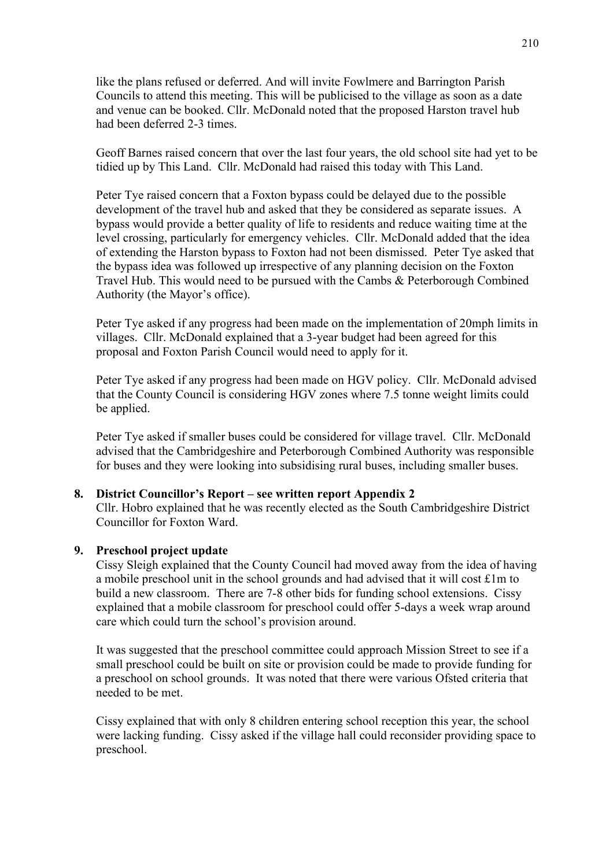like the plans refused or deferred. And will invite Fowlmere and Barrington Parish Councils to attend this meeting. This will be publicised to the village as soon as a date and venue can be booked. Cllr. McDonald noted that the proposed Harston travel hub had been deferred 2-3 times.

Geoff Barnes raised concern that over the last four years, the old school site had yet to be tidied up by This Land. Cllr. McDonald had raised this today with This Land.

Peter Tye raised concern that a Foxton bypass could be delayed due to the possible development of the travel hub and asked that they be considered as separate issues. A bypass would provide a better quality of life to residents and reduce waiting time at the level crossing, particularly for emergency vehicles. Cllr. McDonald added that the idea of extending the Harston bypass to Foxton had not been dismissed. Peter Tye asked that the bypass idea was followed up irrespective of any planning decision on the Foxton Travel Hub. This would need to be pursued with the Cambs & Peterborough Combined Authority (the Mayor's office).

Peter Tye asked if any progress had been made on the implementation of 20mph limits in villages. Cllr. McDonald explained that a 3-year budget had been agreed for this proposal and Foxton Parish Council would need to apply for it.

Peter Tye asked if any progress had been made on HGV policy. Cllr. McDonald advised that the County Council is considering HGV zones where 7.5 tonne weight limits could be applied.

Peter Tye asked if smaller buses could be considered for village travel. Cllr. McDonald advised that the Cambridgeshire and Peterborough Combined Authority was responsible for buses and they were looking into subsidising rural buses, including smaller buses.

#### **8. District Councillor's Report – see written report Appendix 2**

Cllr. Hobro explained that he was recently elected as the South Cambridgeshire District Councillor for Foxton Ward.

#### **9. Preschool project update**

Cissy Sleigh explained that the County Council had moved away from the idea of having a mobile preschool unit in the school grounds and had advised that it will cost £1m to build a new classroom. There are 7-8 other bids for funding school extensions. Cissy explained that a mobile classroom for preschool could offer 5-days a week wrap around care which could turn the school's provision around.

It was suggested that the preschool committee could approach Mission Street to see if a small preschool could be built on site or provision could be made to provide funding for a preschool on school grounds. It was noted that there were various Ofsted criteria that needed to be met.

Cissy explained that with only 8 children entering school reception this year, the school were lacking funding. Cissy asked if the village hall could reconsider providing space to preschool.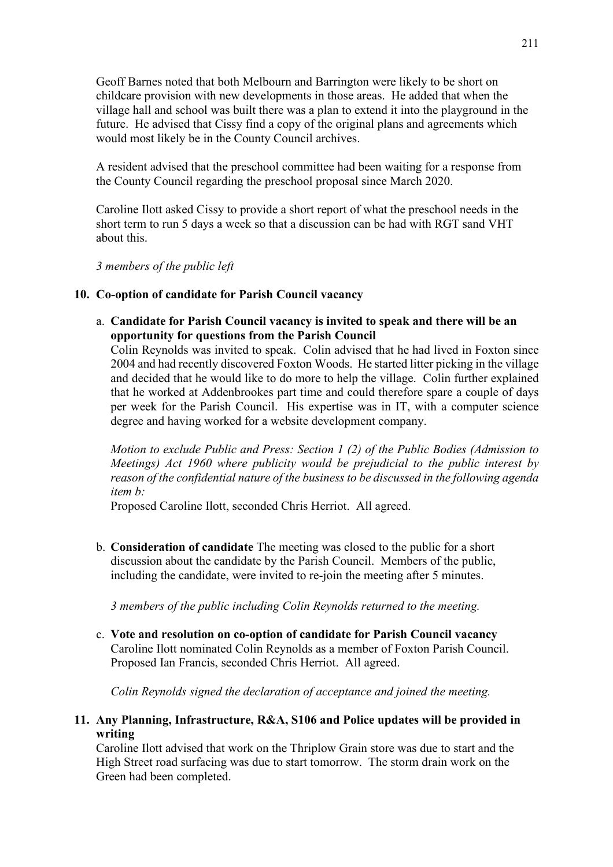Geoff Barnes noted that both Melbourn and Barrington were likely to be short on childcare provision with new developments in those areas. He added that when the village hall and school was built there was a plan to extend it into the playground in the future. He advised that Cissy find a copy of the original plans and agreements which would most likely be in the County Council archives.

A resident advised that the preschool committee had been waiting for a response from the County Council regarding the preschool proposal since March 2020.

Caroline Ilott asked Cissy to provide a short report of what the preschool needs in the short term to run 5 days a week so that a discussion can be had with RGT sand VHT about this.

*3 members of the public left*

#### **10. Co-option of candidate for Parish Council vacancy**

a. **Candidate for Parish Council vacancy is invited to speak and there will be an opportunity for questions from the Parish Council**

Colin Reynolds was invited to speak. Colin advised that he had lived in Foxton since 2004 and had recently discovered Foxton Woods. He started litter picking in the village and decided that he would like to do more to help the village. Colin further explained that he worked at Addenbrookes part time and could therefore spare a couple of days per week for the Parish Council. His expertise was in IT, with a computer science degree and having worked for a website development company.

*Motion to exclude Public and Press: Section 1 (2) of the Public Bodies (Admission to Meetings) Act 1960 where publicity would be prejudicial to the public interest by reason of the confidential nature of the business to be discussed in the following agenda item b:*

Proposed Caroline Ilott, seconded Chris Herriot. All agreed.

b. **Consideration of candidate** The meeting was closed to the public for a short discussion about the candidate by the Parish Council. Members of the public, including the candidate, were invited to re-join the meeting after 5 minutes.

*3 members of the public including Colin Reynolds returned to the meeting.*

c. **Vote and resolution on co-option of candidate for Parish Council vacancy** Caroline Ilott nominated Colin Reynolds as a member of Foxton Parish Council. Proposed Ian Francis, seconded Chris Herriot. All agreed.

*Colin Reynolds signed the declaration of acceptance and joined the meeting.*

**11. Any Planning, Infrastructure, R&A, S106 and Police updates will be provided in writing**

Caroline Ilott advised that work on the Thriplow Grain store was due to start and the High Street road surfacing was due to start tomorrow. The storm drain work on the Green had been completed.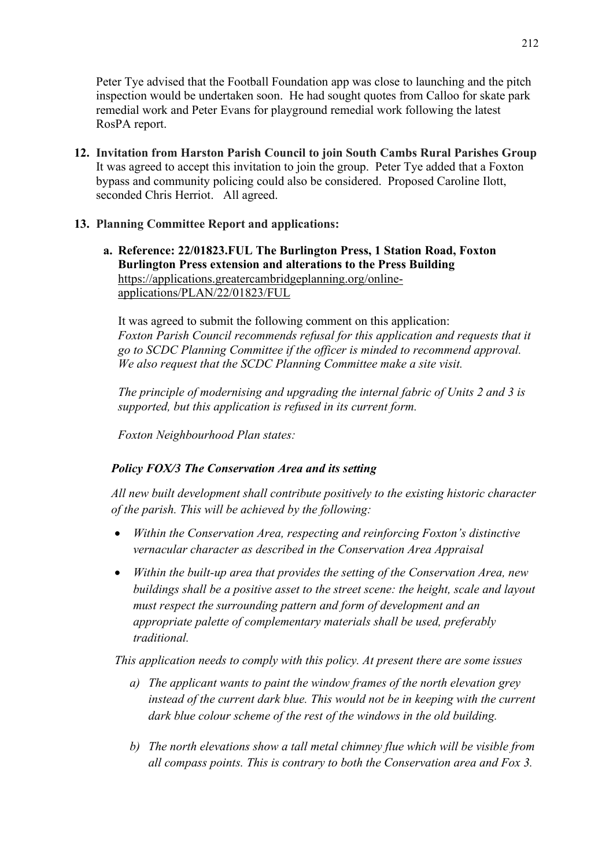Peter Tye advised that the Football Foundation app was close to launching and the pitch inspection would be undertaken soon. He had sought quotes from Calloo for skate park remedial work and Peter Evans for playground remedial work following the latest RosPA report.

**12. Invitation from Harston Parish Council to join South Cambs Rural Parishes Group** It was agreed to accept this invitation to join the group. Peter Tye added that a Foxton bypass and community policing could also be considered. Proposed Caroline Ilott, seconded Chris Herriot. All agreed.

# **13. Planning Committee Report and applications:**

**a. Reference: 22/01823.FUL The Burlington Press, 1 Station Road, Foxton Burlington Press extension and alterations to the Press Building** [https://applications.greatercambridgeplanning.org/online](https://applications.greatercambridgeplanning.org/online-applications/PLAN/22/01823/FUL)[applications/PLAN/22/01823/FUL](https://applications.greatercambridgeplanning.org/online-applications/PLAN/22/01823/FUL)

It was agreed to submit the following comment on this application: *Foxton Parish Council recommends refusal for this application and requests that it go to SCDC Planning Committee if the officer is minded to recommend approval. We also request that the SCDC Planning Committee make a site visit.*

*The principle of modernising and upgrading the internal fabric of Units 2 and 3 is supported, but this application is refused in its current form.*

*Foxton Neighbourhood Plan states:*

# *Policy FOX/3 The Conservation Area and its setting*

*All new built development shall contribute positively to the existing historic character of the parish. This will be achieved by the following:*

- *Within the Conservation Area, respecting and reinforcing Foxton's distinctive vernacular character as described in the Conservation Area Appraisal*
- *Within the built-up area that provides the setting of the Conservation Area, new buildings shall be a positive asset to the street scene: the height, scale and layout must respect the surrounding pattern and form of development and an appropriate palette of complementary materials shall be used, preferably traditional.*

*This application needs to comply with this policy. At present there are some issues*

- *a) The applicant wants to paint the window frames of the north elevation grey instead of the current dark blue. This would not be in keeping with the current dark blue colour scheme of the rest of the windows in the old building.*
- *b) The north elevations show a tall metal chimney flue which will be visible from all compass points. This is contrary to both the Conservation area and Fox 3.*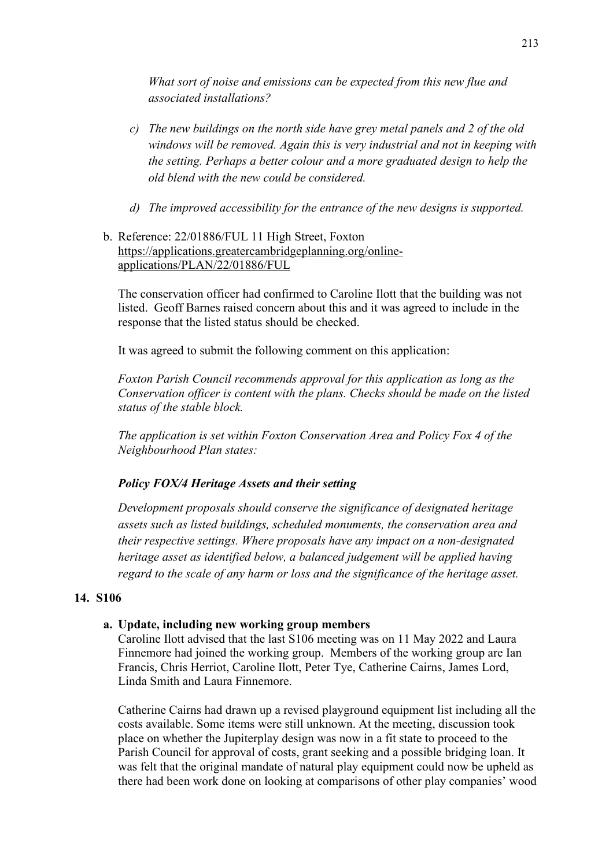*What sort of noise and emissions can be expected from this new flue and associated installations?*

- *c) The new buildings on the north side have grey metal panels and 2 of the old windows will be removed. Again this is very industrial and not in keeping with the setting. Perhaps a better colour and a more graduated design to help the old blend with the new could be considered.*
- *d) The improved accessibility for the entrance of the new designs is supported.*
- b. Reference: 22/01886/FUL 11 High Street, Foxton [https://applications.greatercambridgeplanning.org/online](https://applications.greatercambridgeplanning.org/online-applications/PLAN/22/01886/FUL)[applications/PLAN/22/01886/FUL](https://applications.greatercambridgeplanning.org/online-applications/PLAN/22/01886/FUL)

The conservation officer had confirmed to Caroline Ilott that the building was not listed. Geoff Barnes raised concern about this and it was agreed to include in the response that the listed status should be checked.

It was agreed to submit the following comment on this application:

*Foxton Parish Council recommends approval for this application as long as the Conservation officer is content with the plans. Checks should be made on the listed status of the stable block.*

*The application is set within Foxton Conservation Area and Policy Fox 4 of the Neighbourhood Plan states:*

# *Policy FOX/4 Heritage Assets and their setting*

*Development proposals should conserve the significance of designated heritage assets such as listed buildings, scheduled monuments, the conservation area and their respective settings. Where proposals have any impact on a non-designated heritage asset as identified below, a balanced judgement will be applied having regard to the scale of any harm or loss and the significance of the heritage asset.*

#### **14. S106**

#### **a. Update, including new working group members**

Caroline Ilott advised that the last S106 meeting was on 11 May 2022 and Laura Finnemore had joined the working group. Members of the working group are Ian Francis, Chris Herriot, Caroline Ilott, Peter Tye, Catherine Cairns, James Lord, Linda Smith and Laura Finnemore.

Catherine Cairns had drawn up a revised playground equipment list including all the costs available. Some items were still unknown. At the meeting, discussion took place on whether the Jupiterplay design was now in a fit state to proceed to the Parish Council for approval of costs, grant seeking and a possible bridging loan. It was felt that the original mandate of natural play equipment could now be upheld as there had been work done on looking at comparisons of other play companies' wood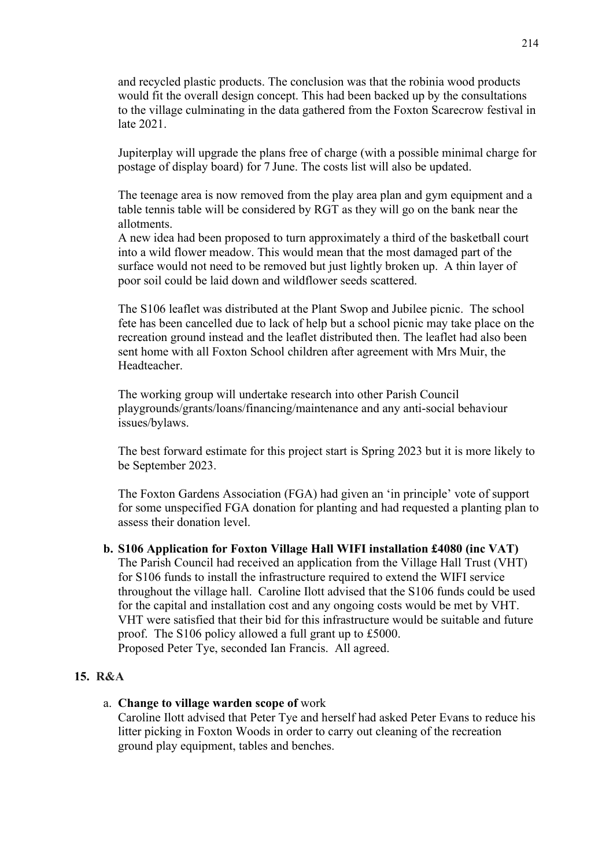and recycled plastic products. The conclusion was that the robinia wood products would fit the overall design concept. This had been backed up by the consultations to the village culminating in the data gathered from the Foxton Scarecrow festival in late 2021.

Jupiterplay will upgrade the plans free of charge (with a possible minimal charge for postage of display board) for 7 June. The costs list will also be updated.

The teenage area is now removed from the play area plan and gym equipment and a table tennis table will be considered by RGT as they will go on the bank near the allotments.

A new idea had been proposed to turn approximately a third of the basketball court into a wild flower meadow. This would mean that the most damaged part of the surface would not need to be removed but just lightly broken up. A thin layer of poor soil could be laid down and wildflower seeds scattered.

The S106 leaflet was distributed at the Plant Swop and Jubilee picnic. The school fete has been cancelled due to lack of help but a school picnic may take place on the recreation ground instead and the leaflet distributed then. The leaflet had also been sent home with all Foxton School children after agreement with Mrs Muir, the Headteacher.

The working group will undertake research into other Parish Council playgrounds/grants/loans/financing/maintenance and any anti-social behaviour issues/bylaws.

The best forward estimate for this project start is Spring 2023 but it is more likely to be September 2023.

The Foxton Gardens Association (FGA) had given an 'in principle' vote of support for some unspecified FGA donation for planting and had requested a planting plan to assess their donation level.

**b. S106 Application for Foxton Village Hall WIFI installation £4080 (inc VAT)** The Parish Council had received an application from the Village Hall Trust (VHT) for S106 funds to install the infrastructure required to extend the WIFI service throughout the village hall. Caroline Ilott advised that the S106 funds could be used for the capital and installation cost and any ongoing costs would be met by VHT. VHT were satisfied that their bid for this infrastructure would be suitable and future proof. The S106 policy allowed a full grant up to £5000. Proposed Peter Tye, seconded Ian Francis. All agreed.

#### **15. R&A**

a. **Change to village warden scope of** work

Caroline Ilott advised that Peter Tye and herself had asked Peter Evans to reduce his litter picking in Foxton Woods in order to carry out cleaning of the recreation ground play equipment, tables and benches.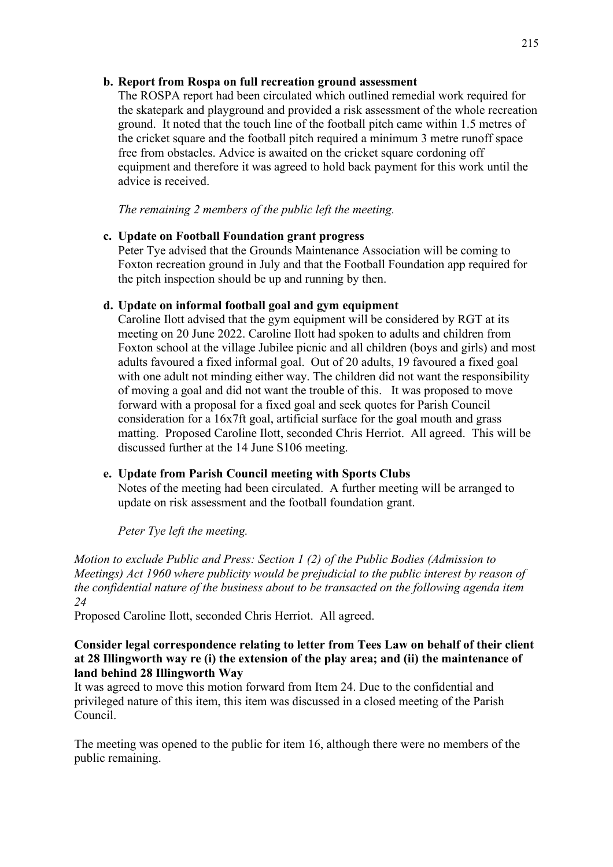## **b. Report from Rospa on full recreation ground assessment**

The ROSPA report had been circulated which outlined remedial work required for the skatepark and playground and provided a risk assessment of the whole recreation ground. It noted that the touch line of the football pitch came within 1.5 metres of the cricket square and the football pitch required a minimum 3 metre runoff space free from obstacles. Advice is awaited on the cricket square cordoning off equipment and therefore it was agreed to hold back payment for this work until the advice is received.

*The remaining 2 members of the public left the meeting.*

## **c. Update on Football Foundation grant progress**

Peter Tye advised that the Grounds Maintenance Association will be coming to Foxton recreation ground in July and that the Football Foundation app required for the pitch inspection should be up and running by then.

## **d. Update on informal football goal and gym equipment**

Caroline Ilott advised that the gym equipment will be considered by RGT at its meeting on 20 June 2022. Caroline Ilott had spoken to adults and children from Foxton school at the village Jubilee picnic and all children (boys and girls) and most adults favoured a fixed informal goal. Out of 20 adults, 19 favoured a fixed goal with one adult not minding either way. The children did not want the responsibility of moving a goal and did not want the trouble of this. It was proposed to move forward with a proposal for a fixed goal and seek quotes for Parish Council consideration for a 16x7ft goal, artificial surface for the goal mouth and grass matting. Proposed Caroline Ilott, seconded Chris Herriot. All agreed. This will be discussed further at the 14 June S106 meeting.

# **e. Update from Parish Council meeting with Sports Clubs**

Notes of the meeting had been circulated. A further meeting will be arranged to update on risk assessment and the football foundation grant.

*Peter Tye left the meeting.*

*Motion to exclude Public and Press: Section 1 (2) of the Public Bodies (Admission to Meetings) Act 1960 where publicity would be prejudicial to the public interest by reason of the confidential nature of the business about to be transacted on the following agenda item 24*

Proposed Caroline Ilott, seconded Chris Herriot. All agreed.

### **Consider legal correspondence relating to letter from Tees Law on behalf of their client at 28 Illingworth way re (i) the extension of the play area; and (ii) the maintenance of land behind 28 Illingworth Way**

It was agreed to move this motion forward from Item 24. Due to the confidential and privileged nature of this item, this item was discussed in a closed meeting of the Parish Council.

The meeting was opened to the public for item 16, although there were no members of the public remaining.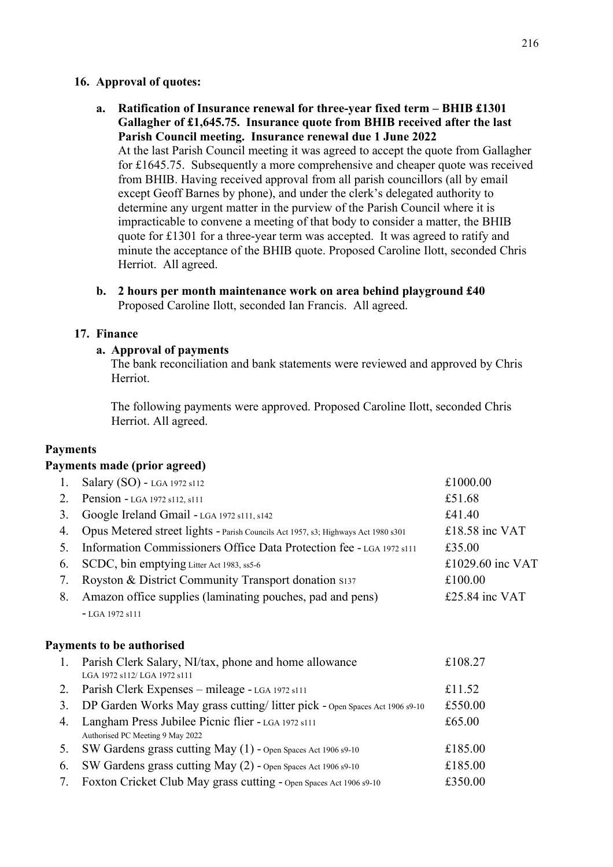#### **16. Approval of quotes:**

- **a. Ratification of Insurance renewal for three-year fixed term – BHIB £1301 Gallagher of £1,645.75. Insurance quote from BHIB received after the last Parish Council meeting. Insurance renewal due 1 June 2022** At the last Parish Council meeting it was agreed to accept the quote from Gallagher for £1645.75. Subsequently a more comprehensive and cheaper quote was received from BHIB. Having received approval from all parish councillors (all by email except Geoff Barnes by phone), and under the clerk's delegated authority to determine any urgent matter in the purview of the Parish Council where it is impracticable to convene a meeting of that body to consider a matter, the BHIB quote for £1301 for a three-year term was accepted. It was agreed to ratify and minute the acceptance of the BHIB quote. Proposed Caroline Ilott, seconded Chris Herriot. All agreed.
- **b. 2 hours per month maintenance work on area behind playground £40** Proposed Caroline Ilott, seconded Ian Francis. All agreed.

## **17. Finance**

#### **a. Approval of payments**

The bank reconciliation and bank statements were reviewed and approved by Chris Herriot.

The following payments were approved. Proposed Caroline Ilott, seconded Chris Herriot. All agreed.

#### **Payments**

#### **Payments made (prior agreed)**

| 1. | Salary (SO) - LGA 1972 s112                                                       | £1000.00         |
|----|-----------------------------------------------------------------------------------|------------------|
| 2. | Pension - LGA 1972 s112, s111                                                     | £51.68           |
| 3. | Google Ireland Gmail - LGA 1972 s111, s142                                        | £41.40           |
| 4. | Opus Metered street lights - Parish Councils Act 1957, s3; Highways Act 1980 s301 | £18.58 inc VAT   |
| 5. | Information Commissioners Office Data Protection fee - LGA 1972 s111              | £35.00           |
| 6. | SCDC, bin emptying Litter Act 1983, ss5-6                                         | £1029.60 inc VAT |
| 7. | Royston & District Community Transport donation \$137                             | £100.00          |
| 8. | Amazon office supplies (laminating pouches, pad and pens)                         | £25.84 inc VAT   |
|    | $-LGA$ 1972 s111                                                                  |                  |
|    | <b>Payments to be authorised</b>                                                  |                  |
| 1. | Parish Clerk Salary, NI/tax, phone and home allowance                             | £108.27          |
|    | LGA 1972 s112/ LGA 1972 s111                                                      |                  |
| 2. | Parish Clerk Expenses - mileage - LGA 1972 s111                                   | £11.52           |
| 3. | DP Garden Works May grass cutting/litter pick - Open Spaces Act 1906 s9-10        | £550.00          |
| 4. | Langham Press Jubilee Picnic flier - LGA 1972 s111                                | £65.00           |
|    | Authorised PC Meeting 9 May 2022                                                  |                  |
| 5. | SW Gardens grass cutting May (1) - Open Spaces Act 1906 s9-10                     | £185.00          |
| 6. | SW Gardens grass cutting May (2) - Open Spaces Act 1906 s9-10                     | £185.00          |

7. Foxton Cricket Club May grass cutting - Open Spaces Act <sup>1906</sup> s9-10 £350.00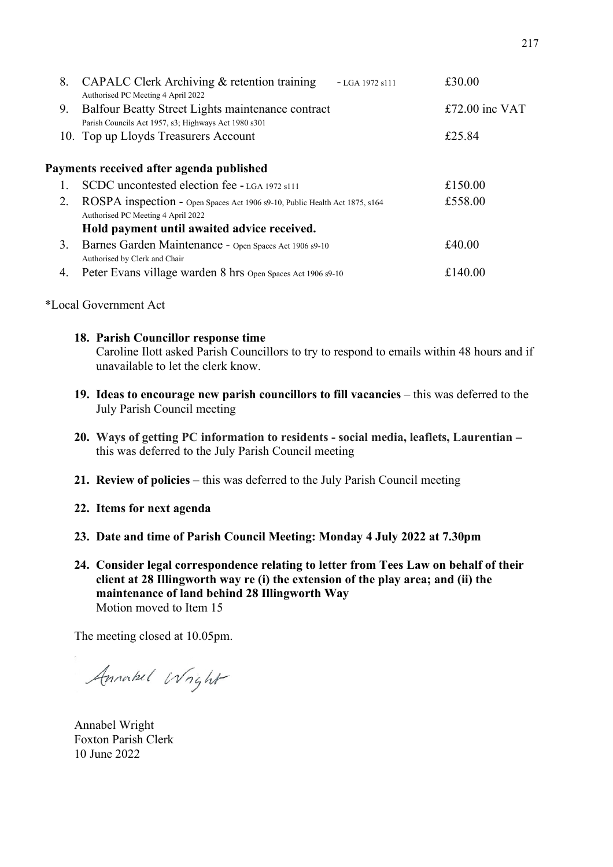| 8. | CAPALC Clerk Archiving & retention training<br>$-LGA$ 1972 s111<br>Authorised PC Meeting 4 April 2022             | £30.00         |
|----|-------------------------------------------------------------------------------------------------------------------|----------------|
| 9. | Balfour Beatty Street Lights maintenance contract<br>Parish Councils Act 1957, s3; Highways Act 1980 s301         | £72.00 inc VAT |
|    | 10. Top up Lloyds Treasurers Account                                                                              | £25.84         |
|    | Payments received after agenda published                                                                          |                |
|    | SCDC uncontested election fee - LGA 1972 s111                                                                     | £150.00        |
| 2. | ROSPA inspection - Open Spaces Act 1906 s9-10, Public Health Act 1875, s164<br>Authorised PC Meeting 4 April 2022 | £558.00        |
|    | Hold payment until awaited advice received.                                                                       |                |
| 3. | Barnes Garden Maintenance - Open Spaces Act 1906 s9-10<br>Authorised by Clerk and Chair                           | £40.00         |
| 4. | Peter Evans village warden 8 hrs Open Spaces Act 1906 s9-10                                                       | £140.00        |
|    |                                                                                                                   |                |

\*Local Government Act

#### **18. Parish Councillor response time**

Caroline Ilott asked Parish Councillors to try to respond to emails within 48 hours and if unavailable to let the clerk know.

- **19. Ideas to encourage new parish councillors to fill vacancies** this was deferred to the July Parish Council meeting
- **20. Ways of getting PC information to residents - social media, leaflets, Laurentian –** this was deferred to the July Parish Council meeting
- **21. Review of policies** this was deferred to the July Parish Council meeting
- **22. Items for next agenda**
- **23. Date and time of Parish Council Meeting: Monday 4 July 2022 at 7.30pm**
- **24. Consider legal correspondence relating to letter from Tees Law on behalf of their client at 28 Illingworth way re (i) the extension of the play area; and (ii) the maintenance of land behind 28 Illingworth Way** Motion moved to Item 15

The meeting closed at 10.05pm.

Annabel Wright

Annabel Wright Foxton Parish Clerk 10 June 2022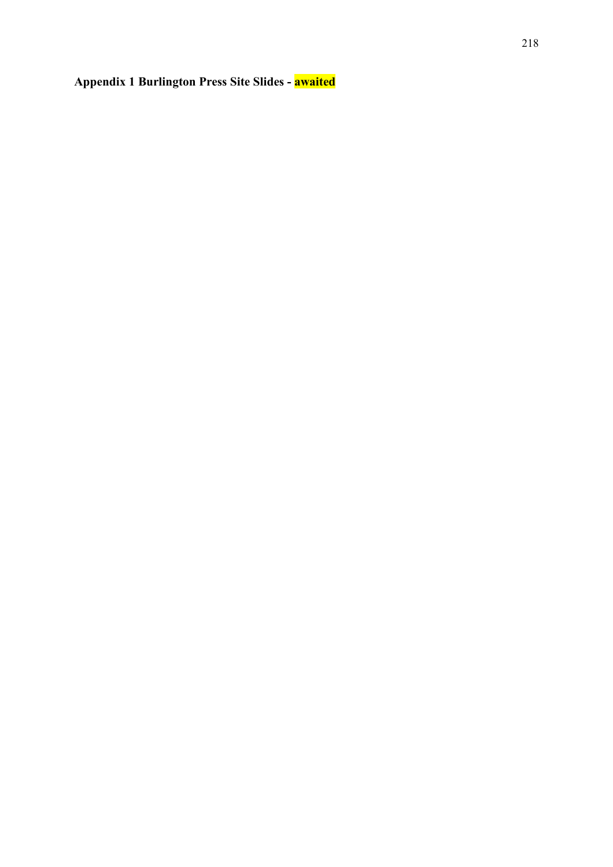# **Appendix 1 Burlington Press Site Slides - awaited**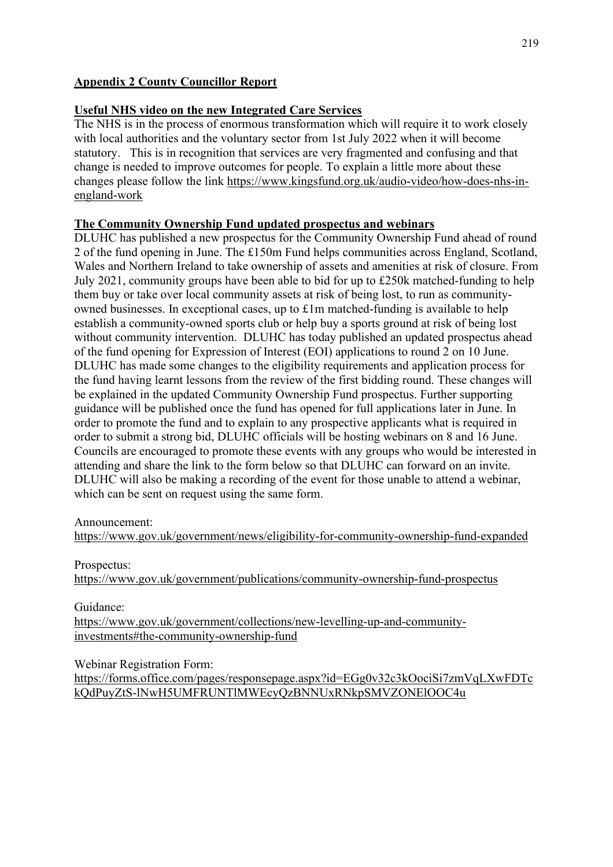# **Appendix 2 County Councillor Report**

## **Useful NHS video on the new Integrated Care Services**

The NHS is in the process of enormous transformation which will require it to work closely with local authorities and the voluntary sector from 1st July 2022 when it will become statutory. This is in recognition that services are very fragmented and confusing and that change is needed to improve outcomes for people. To explain a little more about these changes please follow the link [https://www.kingsfund.org.uk/audio-video/how-does-nhs-in](https://www.kingsfund.org.uk/audio-video/how-does-nhs-in-england-work)[england-work](https://www.kingsfund.org.uk/audio-video/how-does-nhs-in-england-work)

## **The Community Ownership Fund updated prospectus and webinars**

DLUHC has published a new prospectus for the Community Ownership Fund ahead of round 2 of the fund opening in June. The £150m Fund helps communities across England, Scotland, Wales and Northern Ireland to take ownership of assets and amenities at risk of closure. From July 2021, community groups have been able to bid for up to £250k matched-funding to help them buy or take over local community assets at risk of being lost, to run as communityowned businesses. In exceptional cases, up to £1m matched-funding is available to help establish a community-owned sports club or help buy a sports ground at risk of being lost without community intervention. DLUHC has today published an updated prospectus ahead of the fund opening for Expression of Interest (EOI) applications to round 2 on 10 June. DLUHC has made some changes to the eligibility requirements and application process for the fund having learnt lessons from the review of the first bidding round. These changes will be explained in the updated Community Ownership Fund prospectus. Further supporting guidance will be published once the fund has opened for full applications later in June. In order to promote the fund and to explain to any prospective applicants what is required in order to submit a strong bid, DLUHC officials will be hosting webinars on 8 and 16 June. Councils are encouraged to promote these events with any groups who would be interested in attending and share the link to the form below so that DLUHC can forward on an invite. DLUHC will also be making a recording of the event for those unable to attend a webinar, which can be sent on request using the same form.

#### Announcement:

<https://www.gov.uk/government/news/eligibility-for-community-ownership-fund-expanded>

#### Prospectus:

<https://www.gov.uk/government/publications/community-ownership-fund-prospectus>

Guidance:

[https://www.gov.uk/government/collections/new-levelling-up-and-community](https://www.gov.uk/government/collections/new-levelling-up-and-community-investments#the-community-ownership-fund)[investments#the-community-ownership-fund](https://www.gov.uk/government/collections/new-levelling-up-and-community-investments#the-community-ownership-fund)

Webinar Registration Form:

[https://forms.office.com/pages/responsepage.aspx?id=EGg0v32c3kOociSi7zmVqLXwFDTc](https://forms.office.com/pages/responsepage.aspx?id=EGg0v32c3kOociSi7zmVqLXwFDTckQdPuyZtS-lNwH5UMFRUNTlMWEcyQzBNNUxRNkpSMVZONElOOC4u) [kQdPuyZtS-lNwH5UMFRUNTlMWEcyQzBNNUxRNkpSMVZONElOOC4u](https://forms.office.com/pages/responsepage.aspx?id=EGg0v32c3kOociSi7zmVqLXwFDTckQdPuyZtS-lNwH5UMFRUNTlMWEcyQzBNNUxRNkpSMVZONElOOC4u)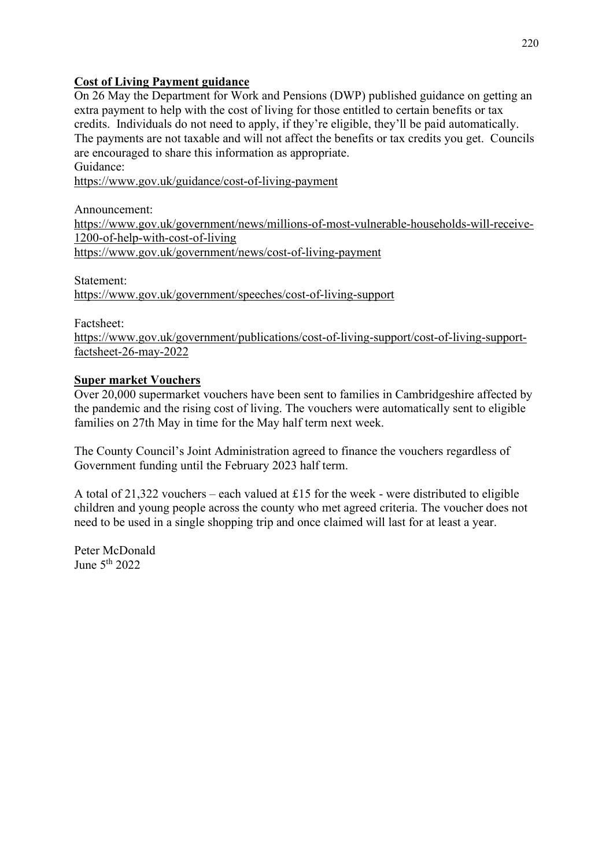# **Cost of Living Payment guidance**

On 26 May the Department for Work and Pensions (DWP) published guidance on getting an extra payment to help with the cost of living for those entitled to certain benefits or tax credits. Individuals do not need to apply, if they're eligible, they'll be paid automatically. The payments are not taxable and will not affect the benefits or tax credits you get. Councils are encouraged to share this information as appropriate. Guidance:

<https://www.gov.uk/guidance/cost-of-living-payment>

Announcement:

[https://www.gov.uk/government/news/millions-of-most-vulnerable-households-will-receive-](https://www.gov.uk/government/news/millions-of-most-vulnerable-households-will-receive-1200-of-help-with-cost-of-living)[1200-of-help-with-cost-of-living](https://www.gov.uk/government/news/millions-of-most-vulnerable-households-will-receive-1200-of-help-with-cost-of-living) <https://www.gov.uk/government/news/cost-of-living-payment>

Statement: <https://www.gov.uk/government/speeches/cost-of-living-support>

Factsheet:

[https://www.gov.uk/government/publications/cost-of-living-support/cost-of-living-support](https://www.gov.uk/government/publications/cost-of-living-support/cost-of-living-support-factsheet-26-may-2022)[factsheet-26-may-2022](https://www.gov.uk/government/publications/cost-of-living-support/cost-of-living-support-factsheet-26-may-2022)

# **Super market Vouchers**

Over 20,000 supermarket vouchers have been sent to families in Cambridgeshire affected by the pandemic and the rising cost of living. The vouchers were automatically sent to eligible families on 27th May in time for the May half term next week.

The County Council's Joint Administration agreed to finance the vouchers regardless of Government funding until the February 2023 half term.

A total of 21,322 vouchers – each valued at £15 for the week - were distributed to eligible children and young people across the county who met agreed criteria. The voucher does not need to be used in a single shopping trip and once claimed will last for at least a year.

Peter McDonald June 5 th 2022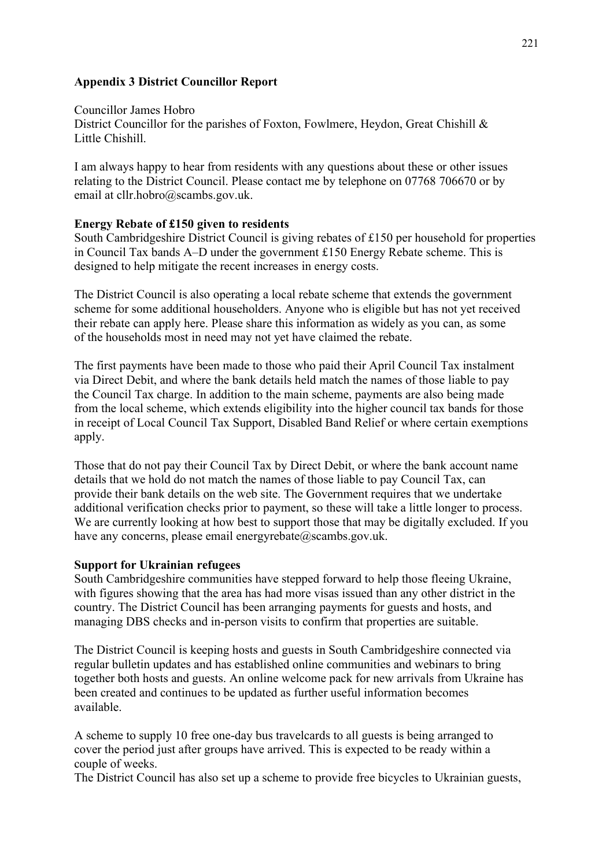#### **Appendix 3 District Councillor Report**

Councillor James Hobro District Councillor for the parishes of Foxton, Fowlmere, Heydon, Great Chishill & Little Chishill.

I am always happy to hear from residents with any questions about these or other issues relating to the District Council. Please contact me by telephone on 07768 706670 or by email at cllr.hobro@scambs.gov.uk.

#### **Energy Rebate of £150 given to residents**

South Cambridgeshire District Council is giving rebates of £150 per household for properties in Council Tax bands A–D under the government £150 Energy Rebate scheme. This is designed to help mitigate the recent increases in energy costs.

The District Council is also operating a local rebate scheme that extends the government scheme for some additional householders. Anyone who is eligible but has not yet received their rebate can apply here. Please share this information as widely as you can, as some of the households most in need may not yet have claimed the rebate.

The first payments have been made to those who paid their April Council Tax instalment via Direct Debit, and where the bank details held match the names of those liable to pay the Council Tax charge. In addition to the main scheme, payments are also being made from the local scheme, which extends eligibility into the higher council tax bands for those in receipt of Local Council Tax Support, Disabled Band Relief or where certain exemptions apply.

Those that do not pay their Council Tax by Direct Debit, or where the bank account name details that we hold do not match the names of those liable to pay Council Tax, can provide their bank details on the web site. The Government requires that we undertake additional verification checks prior to payment, so these will take a little longer to process. We are currently looking at how best to support those that may be digitally excluded. If you have any concerns, please email energyrebate $@$ scambs.gov.uk.

#### **Support for Ukrainian refugees**

South Cambridgeshire communities have stepped forward to help those fleeing Ukraine, with figures showing that the area has had more visas issued than any other district in the country. The District Council has been arranging payments for guests and hosts, and managing DBS checks and in-person visits to confirm that properties are suitable.

The District Council is keeping hosts and guests in South Cambridgeshire connected via regular bulletin updates and has established online communities and webinars to bring together both hosts and guests. An online welcome pack for new arrivals from Ukraine has been created and continues to be updated as further useful information becomes available.

A scheme to supply 10 free one-day bus travelcards to all guests is being arranged to cover the period just after groups have arrived. This is expected to be ready within a couple of weeks.

The District Council has also set up a scheme to provide free bicycles to Ukrainian guests,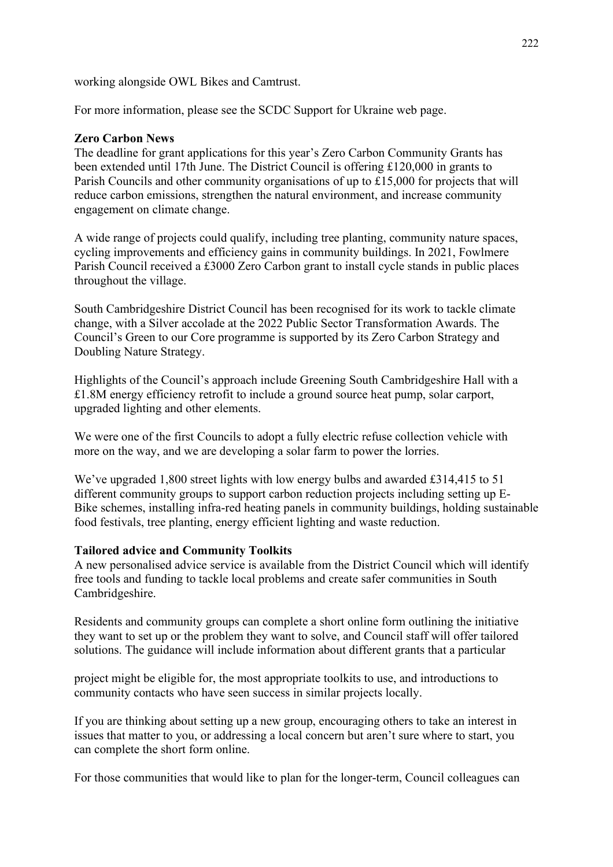working alongside OWL Bikes and Camtrust.

For more information, please see the SCDC Support for Ukraine web page.

#### **Zero Carbon News**

The deadline for grant applications for this year's Zero Carbon Community Grants has been extended until 17th June. The District Council is offering £120,000 in grants to Parish Councils and other community organisations of up to £15,000 for projects that will reduce carbon emissions, strengthen the natural environment, and increase community engagement on climate change.

A wide range of projects could qualify, including tree planting, community nature spaces, cycling improvements and efficiency gains in community buildings. In 2021, Fowlmere Parish Council received a £3000 Zero Carbon grant to install cycle stands in public places throughout the village.

South Cambridgeshire District Council has been recognised for its work to tackle climate change, with a Silver accolade at the 2022 Public Sector Transformation Awards. The Council's Green to our Core programme is supported by its Zero Carbon Strategy and Doubling Nature Strategy.

Highlights of the Council's approach include Greening South Cambridgeshire Hall with a £1.8M energy efficiency retrofit to include a ground source heat pump, solar carport, upgraded lighting and other elements.

We were one of the first Councils to adopt a fully electric refuse collection vehicle with more on the way, and we are developing a solar farm to power the lorries.

We've upgraded 1,800 street lights with low energy bulbs and awarded £314,415 to 51 different community groups to support carbon reduction projects including setting up E-Bike schemes, installing infra-red heating panels in community buildings, holding sustainable food festivals, tree planting, energy efficient lighting and waste reduction.

#### **Tailored advice and Community Toolkits**

A new personalised advice service is available from the District Council which will identify free tools and funding to tackle local problems and create safer communities in South Cambridgeshire.

Residents and community groups can complete a short online form outlining the initiative they want to set up or the problem they want to solve, and Council staff will offer tailored solutions. The guidance will include information about different grants that a particular

project might be eligible for, the most appropriate toolkits to use, and introductions to community contacts who have seen success in similar projects locally.

If you are thinking about setting up a new group, encouraging others to take an interest in issues that matter to you, or addressing a local concern but aren't sure where to start, you can complete the short form online.

For those communities that would like to plan for the longer-term, Council colleagues can